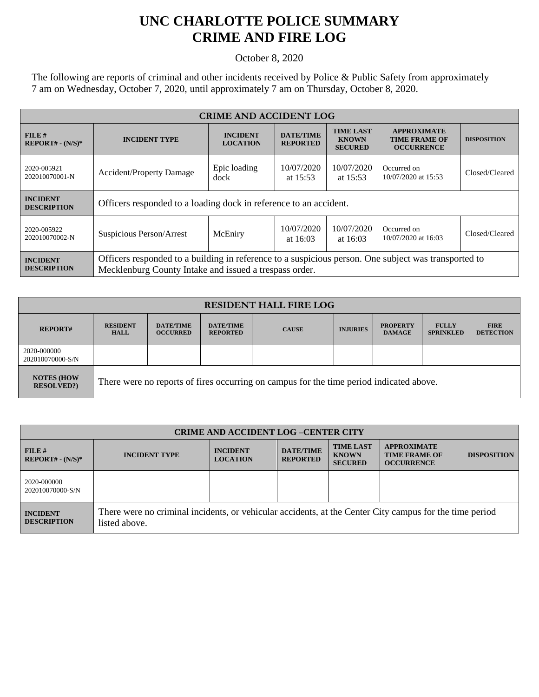## **UNC CHARLOTTE POLICE SUMMARY CRIME AND FIRE LOG**

October 8, 2020

The following are reports of criminal and other incidents received by Police & Public Safety from approximately 7 am on Wednesday, October 7, 2020, until approximately 7 am on Thursday, October 8, 2020.

| <b>CRIME AND ACCIDENT LOG</b>         |                                                                                                                                                                |                                    |                                                                                           |                          |                                                                 |                    |  |
|---------------------------------------|----------------------------------------------------------------------------------------------------------------------------------------------------------------|------------------------------------|-------------------------------------------------------------------------------------------|--------------------------|-----------------------------------------------------------------|--------------------|--|
| FILE#<br>$REPORT# - (N/S)*$           | <b>INCIDENT TYPE</b>                                                                                                                                           | <b>INCIDENT</b><br><b>LOCATION</b> | <b>TIME LAST</b><br><b>DATE/TIME</b><br><b>KNOWN</b><br><b>REPORTED</b><br><b>SECURED</b> |                          | <b>APPROXIMATE</b><br><b>TIME FRAME OF</b><br><b>OCCURRENCE</b> | <b>DISPOSITION</b> |  |
| 2020-005921<br>202010070001-N         | <b>Accident/Property Damage</b>                                                                                                                                | Epic loading<br>dock               | 10/07/2020<br>at $15:53$                                                                  | 10/07/2020<br>at $15:53$ | Occurred on<br>10/07/2020 at 15:53                              | Closed/Cleared     |  |
| <b>INCIDENT</b><br><b>DESCRIPTION</b> | Officers responded to a loading dock in reference to an accident.                                                                                              |                                    |                                                                                           |                          |                                                                 |                    |  |
| 2020-005922<br>202010070002-N         | Suspicious Person/Arrest                                                                                                                                       | McEniry                            | 10/07/2020<br>at $16:03$                                                                  | 10/07/2020<br>at $16:03$ | Occurred on<br>10/07/2020 at 16:03                              | Closed/Cleared     |  |
| <b>INCIDENT</b><br><b>DESCRIPTION</b> | Officers responded to a building in reference to a suspicious person. One subject was transported to<br>Mecklenburg County Intake and issued a trespass order. |                                    |                                                                                           |                          |                                                                 |                    |  |

| <b>RESIDENT HALL FIRE LOG</b>         |                                                                                         |                                     |                                     |              |                 |                                  |                                  |                                 |
|---------------------------------------|-----------------------------------------------------------------------------------------|-------------------------------------|-------------------------------------|--------------|-----------------|----------------------------------|----------------------------------|---------------------------------|
| <b>REPORT#</b>                        | <b>RESIDENT</b><br><b>HALL</b>                                                          | <b>DATE/TIME</b><br><b>OCCURRED</b> | <b>DATE/TIME</b><br><b>REPORTED</b> | <b>CAUSE</b> | <b>INJURIES</b> | <b>PROPERTY</b><br><b>DAMAGE</b> | <b>FULLY</b><br><b>SPRINKLED</b> | <b>FIRE</b><br><b>DETECTION</b> |
| 2020-000000<br>202010070000-S/N       |                                                                                         |                                     |                                     |              |                 |                                  |                                  |                                 |
| <b>NOTES (HOW</b><br><b>RESOLVED?</b> | There were no reports of fires occurring on campus for the time period indicated above. |                                     |                                     |              |                 |                                  |                                  |                                 |

| <b>CRIME AND ACCIDENT LOG-CENTER CITY</b> |                                                                                                                          |                                    |                                     |                                                    |                                                                 |                    |
|-------------------------------------------|--------------------------------------------------------------------------------------------------------------------------|------------------------------------|-------------------------------------|----------------------------------------------------|-----------------------------------------------------------------|--------------------|
| FILE#<br>$REPORT# - (N/S)*$               | <b>INCIDENT TYPE</b>                                                                                                     | <b>INCIDENT</b><br><b>LOCATION</b> | <b>DATE/TIME</b><br><b>REPORTED</b> | <b>TIME LAST</b><br><b>KNOWN</b><br><b>SECURED</b> | <b>APPROXIMATE</b><br><b>TIME FRAME OF</b><br><b>OCCURRENCE</b> | <b>DISPOSITION</b> |
| 2020-000000<br>202010070000-S/N           |                                                                                                                          |                                    |                                     |                                                    |                                                                 |                    |
| <b>INCIDENT</b><br><b>DESCRIPTION</b>     | There were no criminal incidents, or vehicular accidents, at the Center City campus for the time period<br>listed above. |                                    |                                     |                                                    |                                                                 |                    |